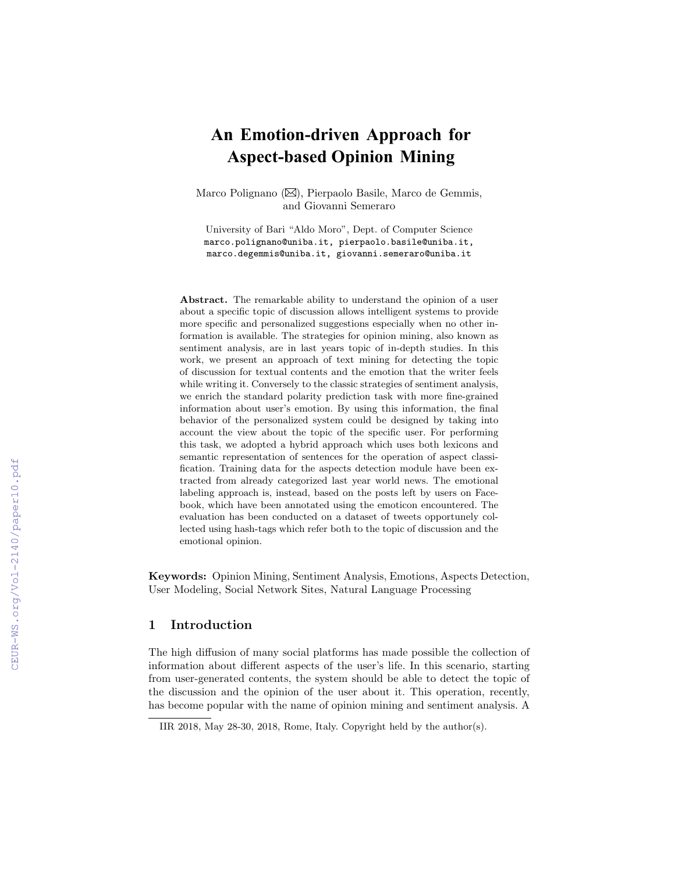# **An Emotion-driven Approach for Aspect-based Opinion Mining**

Marco Polignano ( $\boxtimes$ ), Pierpaolo Basile, Marco de Gemmis, and Giovanni Semeraro

University of Bari "Aldo Moro", Dept. of Computer Science marco.polignano@uniba.it, pierpaolo.basile@uniba.it, marco.degemmis@uniba.it, giovanni.semeraro@uniba.it

Abstract. The remarkable ability to understand the opinion of a user about a specific topic of discussion allows intelligent systems to provide more specific and personalized suggestions especially when no other information is available. The strategies for opinion mining, also known as sentiment analysis, are in last years topic of in-depth studies. In this work, we present an approach of text mining for detecting the topic of discussion for textual contents and the emotion that the writer feels while writing it. Conversely to the classic strategies of sentiment analysis, we enrich the standard polarity prediction task with more fine-grained information about user's emotion. By using this information, the final behavior of the personalized system could be designed by taking into account the view about the topic of the specific user. For performing this task, we adopted a hybrid approach which uses both lexicons and semantic representation of sentences for the operation of aspect classification. Training data for the aspects detection module have been extracted from already categorized last year world news. The emotional labeling approach is, instead, based on the posts left by users on Facebook, which have been annotated using the emoticon encountered. The evaluation has been conducted on a dataset of tweets opportunely collected using hash-tags which refer both to the topic of discussion and the emotional opinion.

Keywords: Opinion Mining, Sentiment Analysis, Emotions, Aspects Detection, User Modeling, Social Network Sites, Natural Language Processing

#### 1 Introduction

The high diffusion of many social platforms has made possible the collection of information about different aspects of the user's life. In this scenario, starting from user-generated contents, the system should be able to detect the topic of the discussion and the opinion of the user about it. This operation, recently, has become popular with the name of opinion mining and sentiment analysis. A

IIR 2018, May 28-30, 2018, Rome, Italy. Copyright held by the author(s).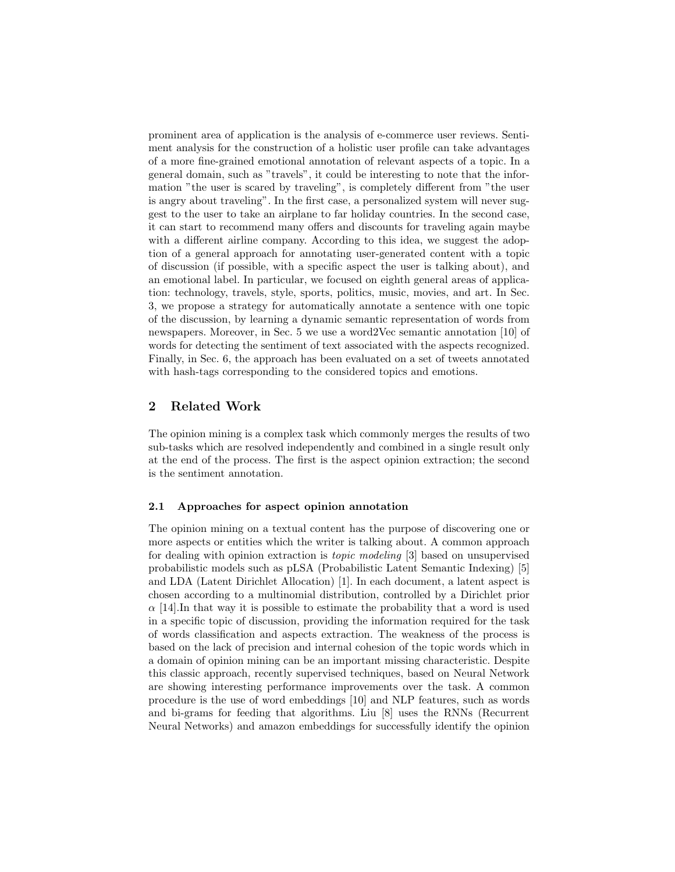prominent area of application is the analysis of e-commerce user reviews. Sentiment analysis for the construction of a holistic user profile can take advantages of a more fine-grained emotional annotation of relevant aspects of a topic. In a general domain, such as "travels", it could be interesting to note that the information "the user is scared by traveling", is completely different from "the user is angry about traveling". In the first case, a personalized system will never suggest to the user to take an airplane to far holiday countries. In the second case, it can start to recommend many offers and discounts for traveling again maybe with a different airline company. According to this idea, we suggest the adoption of a general approach for annotating user-generated content with a topic of discussion (if possible, with a specific aspect the user is talking about), and an emotional label. In particular, we focused on eighth general areas of application: technology, travels, style, sports, politics, music, movies, and art. In Sec. [3,](#page-2-0) we propose a strategy for automatically annotate a sentence with one topic of the discussion, by learning a dynamic semantic representation of words from newspapers. Moreover, in Sec. [5](#page-6-0) we use a word2Vec semantic annotation [\[10\]](#page-11-0) of words for detecting the sentiment of text associated with the aspects recognized. Finally, in Sec. [6,](#page-8-0) the approach has been evaluated on a set of tweets annotated with hash-tags corresponding to the considered topics and emotions.

## <span id="page-1-0"></span>2 Related Work

The opinion mining is a complex task which commonly merges the results of two sub-tasks which are resolved independently and combined in a single result only at the end of the process. The first is the aspect opinion extraction; the second is the sentiment annotation.

#### 2.1 Approaches for aspect opinion annotation

The opinion mining on a textual content has the purpose of discovering one or more aspects or entities which the writer is talking about. A common approach for dealing with opinion extraction is topic modeling [\[3\]](#page-11-1) based on unsupervised probabilistic models such as pLSA (Probabilistic Latent Semantic Indexing) [\[5\]](#page-11-2) and LDA (Latent Dirichlet Allocation) [\[1\]](#page-11-3). In each document, a latent aspect is chosen according to a multinomial distribution, controlled by a Dirichlet prior  $\alpha$  [\[14\]](#page-11-4). In that way it is possible to estimate the probability that a word is used in a specific topic of discussion, providing the information required for the task of words classification and aspects extraction. The weakness of the process is based on the lack of precision and internal cohesion of the topic words which in a domain of opinion mining can be an important missing characteristic. Despite this classic approach, recently supervised techniques, based on Neural Network are showing interesting performance improvements over the task. A common procedure is the use of word embeddings [\[10\]](#page-11-0) and NLP features, such as words and bi-grams for feeding that algorithms. Liu [\[8\]](#page-11-5) uses the RNNs (Recurrent Neural Networks) and amazon embeddings for successfully identify the opinion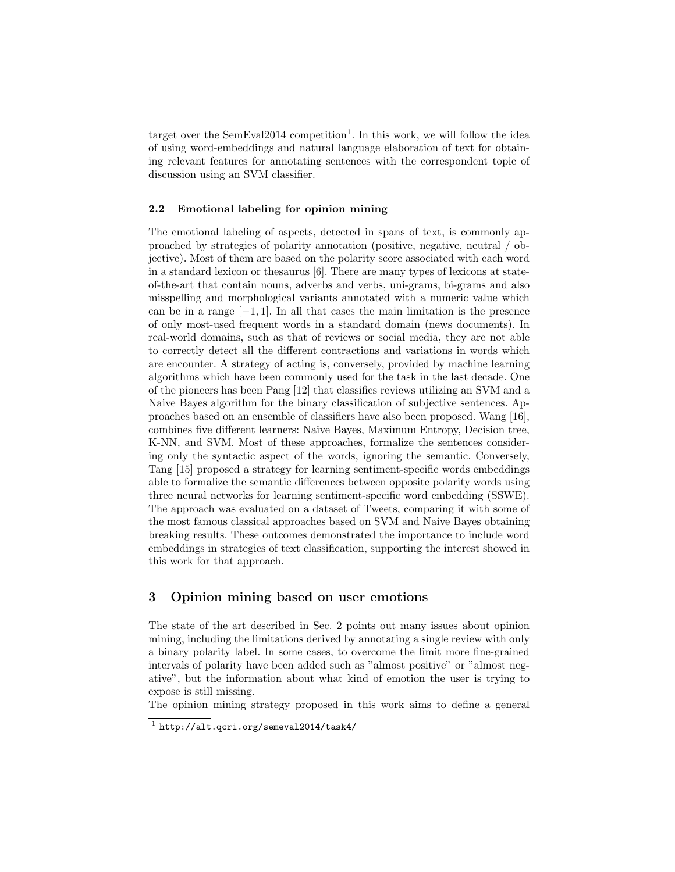target over the  $SemEval2014$  $SemEval2014$  $SemEval2014$  competition<sup>1</sup>. In this work, we will follow the idea of using word-embeddings and natural language elaboration of text for obtaining relevant features for annotating sentences with the correspondent topic of discussion using an SVM classifier.

#### 2.2 Emotional labeling for opinion mining

The emotional labeling of aspects, detected in spans of text, is commonly approached by strategies of polarity annotation (positive, negative, neutral / objective). Most of them are based on the polarity score associated with each word in a standard lexicon or thesaurus [\[6\]](#page-11-6). There are many types of lexicons at stateof-the-art that contain nouns, adverbs and verbs, uni-grams, bi-grams and also misspelling and morphological variants annotated with a numeric value which can be in a range  $[-1, 1]$ . In all that cases the main limitation is the presence of only most-used frequent words in a standard domain (news documents). In real-world domains, such as that of reviews or social media, they are not able to correctly detect all the different contractions and variations in words which are encounter. A strategy of acting is, conversely, provided by machine learning algorithms which have been commonly used for the task in the last decade. One of the pioneers has been Pang [\[12\]](#page-11-7) that classifies reviews utilizing an SVM and a Naive Bayes algorithm for the binary classification of subjective sentences. Approaches based on an ensemble of classifiers have also been proposed. Wang [\[16\]](#page-11-8), combines five different learners: Naive Bayes, Maximum Entropy, Decision tree, K-NN, and SVM. Most of these approaches, formalize the sentences considering only the syntactic aspect of the words, ignoring the semantic. Conversely, Tang [\[15\]](#page-11-9) proposed a strategy for learning sentiment-specific words embeddings able to formalize the semantic differences between opposite polarity words using three neural networks for learning sentiment-specific word embedding (SSWE). The approach was evaluated on a dataset of Tweets, comparing it with some of the most famous classical approaches based on SVM and Naive Bayes obtaining breaking results. These outcomes demonstrated the importance to include word embeddings in strategies of text classification, supporting the interest showed in this work for that approach.

### <span id="page-2-0"></span>3 Opinion mining based on user emotions

The state of the art described in Sec. [2](#page-1-0) points out many issues about opinion mining, including the limitations derived by annotating a single review with only a binary polarity label. In some cases, to overcome the limit more fine-grained intervals of polarity have been added such as "almost positive" or "almost negative", but the information about what kind of emotion the user is trying to expose is still missing.

The opinion mining strategy proposed in this work aims to define a general

<span id="page-2-1"></span> $^1$  <http://alt.qcri.org/semeval2014/task4/>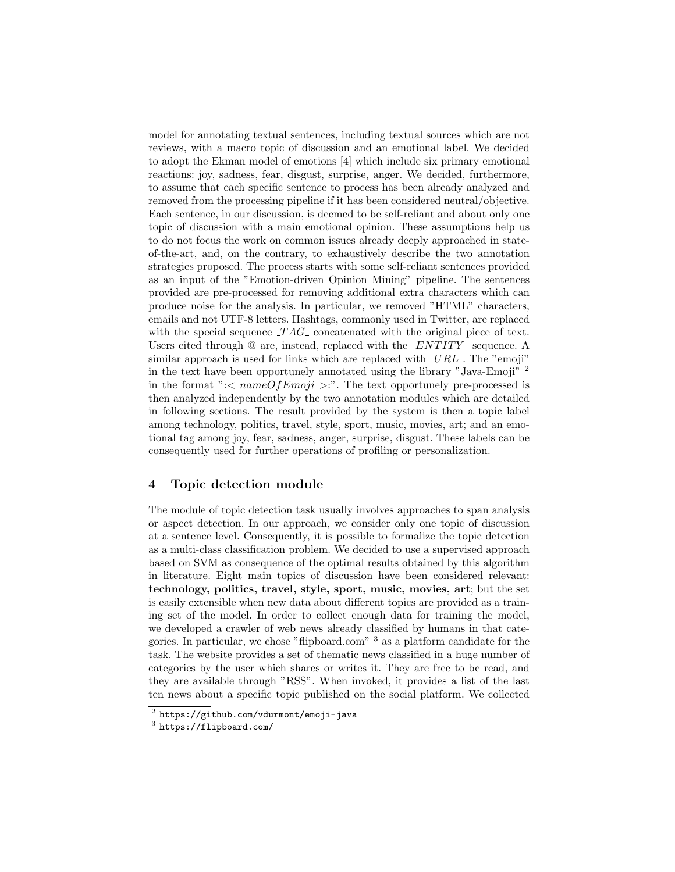model for annotating textual sentences, including textual sources which are not reviews, with a macro topic of discussion and an emotional label. We decided to adopt the Ekman model of emotions [\[4\]](#page-11-10) which include six primary emotional reactions: joy, sadness, fear, disgust, surprise, anger. We decided, furthermore, to assume that each specific sentence to process has been already analyzed and removed from the processing pipeline if it has been considered neutral/objective. Each sentence, in our discussion, is deemed to be self-reliant and about only one topic of discussion with a main emotional opinion. These assumptions help us to do not focus the work on common issues already deeply approached in stateof-the-art, and, on the contrary, to exhaustively describe the two annotation strategies proposed. The process starts with some self-reliant sentences provided as an input of the "Emotion-driven Opinion Mining" pipeline. The sentences provided are pre-processed for removing additional extra characters which can produce noise for the analysis. In particular, we removed "HTML" characters, emails and not UTF-8 letters. Hashtags, commonly used in Twitter, are replaced with the special sequence  $TAG$  concatenated with the original piece of text. Users cited through  $\Omega$  are, instead, replaced with the *ENTITY* sequence. A similar approach is used for links which are replaced with  $\mathcal{L}RL$ . The "emoji" in the text have been opportunely annotated using the library "Java-Emoji" [2](#page-3-0) in the format ":<  $nameOfEmpij$  >:". The text opportunely pre-processed is then analyzed independently by the two annotation modules which are detailed in following sections. The result provided by the system is then a topic label among technology, politics, travel, style, sport, music, movies, art; and an emotional tag among joy, fear, sadness, anger, surprise, disgust. These labels can be consequently used for further operations of profiling or personalization.

### 4 Topic detection module

The module of topic detection task usually involves approaches to span analysis or aspect detection. In our approach, we consider only one topic of discussion at a sentence level. Consequently, it is possible to formalize the topic detection as a multi-class classification problem. We decided to use a supervised approach based on SVM as consequence of the optimal results obtained by this algorithm in literature. Eight main topics of discussion have been considered relevant: technology, politics, travel, style, sport, music, movies, art; but the set is easily extensible when new data about different topics are provided as a training set of the model. In order to collect enough data for training the model, we developed a crawler of web news already classified by humans in that categories. In particular, we chose "flipboard.com" [3](#page-3-1) as a platform candidate for the task. The website provides a set of thematic news classified in a huge number of categories by the user which shares or writes it. They are free to be read, and they are available through "RSS". When invoked, it provides a list of the last ten news about a specific topic published on the social platform. We collected

<span id="page-3-0"></span> $^2$  <https://github.com/vdurmont/emoji-java>

<span id="page-3-1"></span><sup>3</sup> <https://flipboard.com/>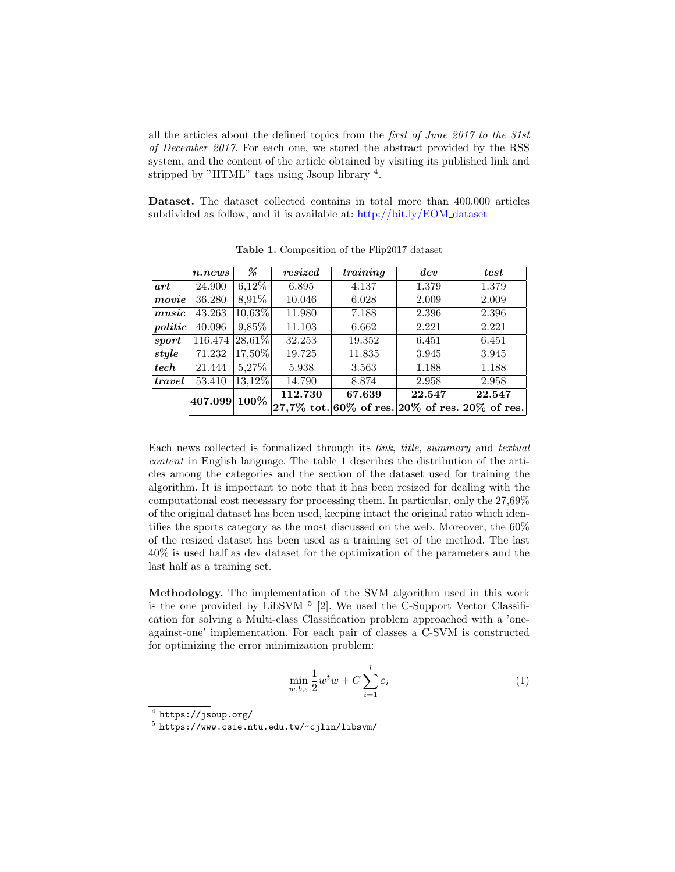all the articles about the defined topics from the *first of June 2017 to the 31st* of December 2017. For each one, we stored the abstract provided by the RSS system, and the content of the article obtained by visiting its published link and stripped by "HTML" tags using Jsoup library<sup>[4](#page-4-0)</sup>.

Dataset. The dataset collected contains in total more than 400.000 articles subdivided as follow, and it is available at: [http://bit.ly/EOM](http://bit.ly/EOM_dataset) dataset

|         | n.news  | %           | resized | $\overline{training}$                                                                            | dev    | test   |
|---------|---------|-------------|---------|--------------------------------------------------------------------------------------------------|--------|--------|
| art     | 24.900  | $6,12\%$    | 6.895   | 4.137                                                                                            | 1.379  | 1.379  |
| movie   | 36.280  | 8,91%       | 10.046  | 6.028                                                                                            | 2.009  | 2.009  |
| music   | 43.263  | 10,63%      | 11.980  | 7.188                                                                                            | 2.396  | 2.396  |
| politic | 40.096  | 9,85%       | 11.103  | 6.662                                                                                            | 2.221  | 2.221  |
| sport   | 116.474 | $ 28,61\% $ | 32.253  | 19.352                                                                                           | 6.451  | 6.451  |
| style   | 71.232  | 17,50%      | 19.725  | 11.835                                                                                           | 3.945  | 3.945  |
| tech    | 21.444  | 5,27%       | 5.938   | 3.563                                                                                            | 1.188  | 1.188  |
| travel  | 53.410  | 13,12%      | 14.790  | 8.874                                                                                            | 2.958  | 2.958  |
|         | 407.099 | 100%        | 112.730 | 67.639                                                                                           | 22.547 | 22.547 |
|         |         |             |         | $\left 27,\!7\%\right.$ tot. 60% of res. $\left 20\%\right.$ of res. $\left 20\%\right.$ of res. |        |        |

<span id="page-4-1"></span>Table 1. Composition of the Flip2017 dataset

Each news collected is formalized through its link, title, summary and textual content in English language. The table [1](#page-4-1) describes the distribution of the articles among the categories and the section of the dataset used for training the algorithm. It is important to note that it has been resized for dealing with the computational cost necessary for processing them. In particular, only the 27,69% of the original dataset has been used, keeping intact the original ratio which identifies the sports category as the most discussed on the web. Moreover, the 60% of the resized dataset has been used as a training set of the method. The last 40% is used half as dev dataset for the optimization of the parameters and the last half as a training set.

Methodology. The implementation of the SVM algorithm used in this work is the one provided by LibSVM  $<sup>5</sup>$  $<sup>5</sup>$  $<sup>5</sup>$  [\[2\]](#page-11-11). We used the C-Support Vector Classifi-</sup> cation for solving a Multi-class Classification problem approached with a 'oneagainst-one' implementation. For each pair of classes a C-SVM is constructed for optimizing the error minimization problem:

$$
\min_{w,b,\varepsilon} \frac{1}{2} w^t w + C \sum_{i=1}^l \varepsilon_i \tag{1}
$$

<span id="page-4-0"></span> $^4$  <https://jsoup.org/>

<span id="page-4-2"></span> $^5$ <https://www.csie.ntu.edu.tw/~cjlin/libsvm/>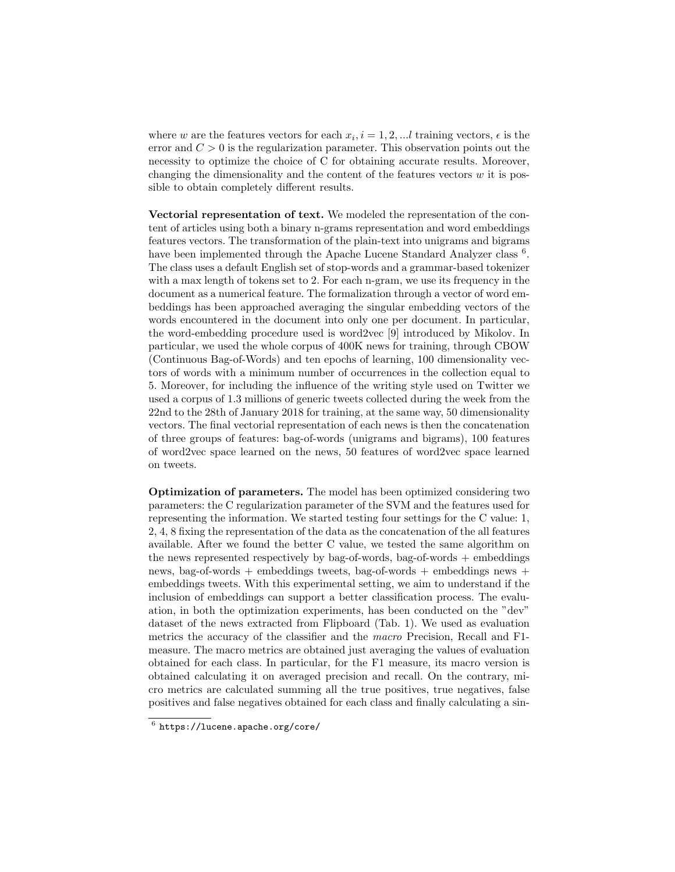where w are the features vectors for each  $x_i$ ,  $i = 1, 2, \dots l$  training vectors,  $\epsilon$  is the error and  $C > 0$  is the regularization parameter. This observation points out the necessity to optimize the choice of C for obtaining accurate results. Moreover, changing the dimensionality and the content of the features vectors  $w$  it is possible to obtain completely different results.

Vectorial representation of text. We modeled the representation of the content of articles using both a binary n-grams representation and word embeddings features vectors. The transformation of the plain-text into unigrams and bigrams have been implemented through the Apache Lucene Standard Analyzer class <sup>[6](#page-5-0)</sup>. The class uses a default English set of stop-words and a grammar-based tokenizer with a max length of tokens set to 2. For each n-gram, we use its frequency in the document as a numerical feature. The formalization through a vector of word embeddings has been approached averaging the singular embedding vectors of the words encountered in the document into only one per document. In particular, the word-embedding procedure used is word2vec [\[9\]](#page-11-12) introduced by Mikolov. In particular, we used the whole corpus of 400K news for training, through CBOW (Continuous Bag-of-Words) and ten epochs of learning, 100 dimensionality vectors of words with a minimum number of occurrences in the collection equal to 5. Moreover, for including the influence of the writing style used on Twitter we used a corpus of 1.3 millions of generic tweets collected during the week from the 22nd to the 28th of January 2018 for training, at the same way, 50 dimensionality vectors. The final vectorial representation of each news is then the concatenation of three groups of features: bag-of-words (unigrams and bigrams), 100 features of word2vec space learned on the news, 50 features of word2vec space learned on tweets.

Optimization of parameters. The model has been optimized considering two parameters: the C regularization parameter of the SVM and the features used for representing the information. We started testing four settings for the C value: 1, 2, 4, 8 fixing the representation of the data as the concatenation of the all features available. After we found the better C value, we tested the same algorithm on the news represented respectively by bag-of-words, bag-of-words  $+$  embeddings news, bag-of-words + embeddings tweets, bag-of-words + embeddings news + embeddings tweets. With this experimental setting, we aim to understand if the inclusion of embeddings can support a better classification process. The evaluation, in both the optimization experiments, has been conducted on the "dev" dataset of the news extracted from Flipboard (Tab. [1\)](#page-4-1). We used as evaluation metrics the accuracy of the classifier and the macro Precision, Recall and F1 measure. The macro metrics are obtained just averaging the values of evaluation obtained for each class. In particular, for the F1 measure, its macro version is obtained calculating it on averaged precision and recall. On the contrary, micro metrics are calculated summing all the true positives, true negatives, false positives and false negatives obtained for each class and finally calculating a sin-

<span id="page-5-0"></span> $^6$  <https://lucene.apache.org/core/>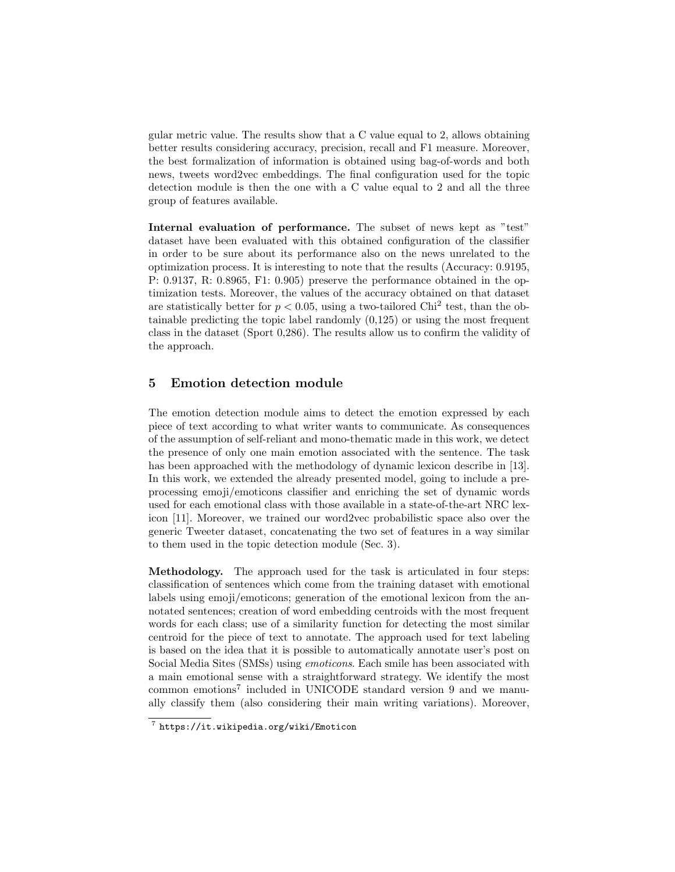gular metric value. The results show that a C value equal to 2, allows obtaining better results considering accuracy, precision, recall and F1 measure. Moreover, the best formalization of information is obtained using bag-of-words and both news, tweets word2vec embeddings. The final configuration used for the topic detection module is then the one with a C value equal to 2 and all the three group of features available.

Internal evaluation of performance. The subset of news kept as "test" dataset have been evaluated with this obtained configuration of the classifier in order to be sure about its performance also on the news unrelated to the optimization process. It is interesting to note that the results (Accuracy: 0.9195, P: 0.9137, R: 0.8965, F1: 0.905) preserve the performance obtained in the optimization tests. Moreover, the values of the accuracy obtained on that dataset are statistically better for  $p < 0.05$ , using a two-tailored Chi<sup>2</sup> test, than the obtainable predicting the topic label randomly (0,125) or using the most frequent class in the dataset (Sport 0,286). The results allow us to confirm the validity of the approach.

#### <span id="page-6-0"></span>5 Emotion detection module

The emotion detection module aims to detect the emotion expressed by each piece of text according to what writer wants to communicate. As consequences of the assumption of self-reliant and mono-thematic made in this work, we detect the presence of only one main emotion associated with the sentence. The task has been approached with the methodology of dynamic lexicon describe in [\[13\]](#page-11-13). In this work, we extended the already presented model, going to include a preprocessing emoji/emoticons classifier and enriching the set of dynamic words used for each emotional class with those available in a state-of-the-art NRC lexicon [\[11\]](#page-11-14). Moreover, we trained our word2vec probabilistic space also over the generic Tweeter dataset, concatenating the two set of features in a way similar to them used in the topic detection module (Sec. [3\)](#page-2-0).

Methodology. The approach used for the task is articulated in four steps: classification of sentences which come from the training dataset with emotional labels using emoji/emoticons; generation of the emotional lexicon from the annotated sentences; creation of word embedding centroids with the most frequent words for each class; use of a similarity function for detecting the most similar centroid for the piece of text to annotate. The approach used for text labeling is based on the idea that it is possible to automatically annotate user's post on Social Media Sites (SMSs) using emoticons. Each smile has been associated with a main emotional sense with a straightforward strategy. We identify the most common emotions<sup>[7](#page-6-1)</sup> included in UNICODE standard version 9 and we manually classify them (also considering their main writing variations). Moreover,

<span id="page-6-1"></span><sup>7</sup> <https://it.wikipedia.org/wiki/Emoticon>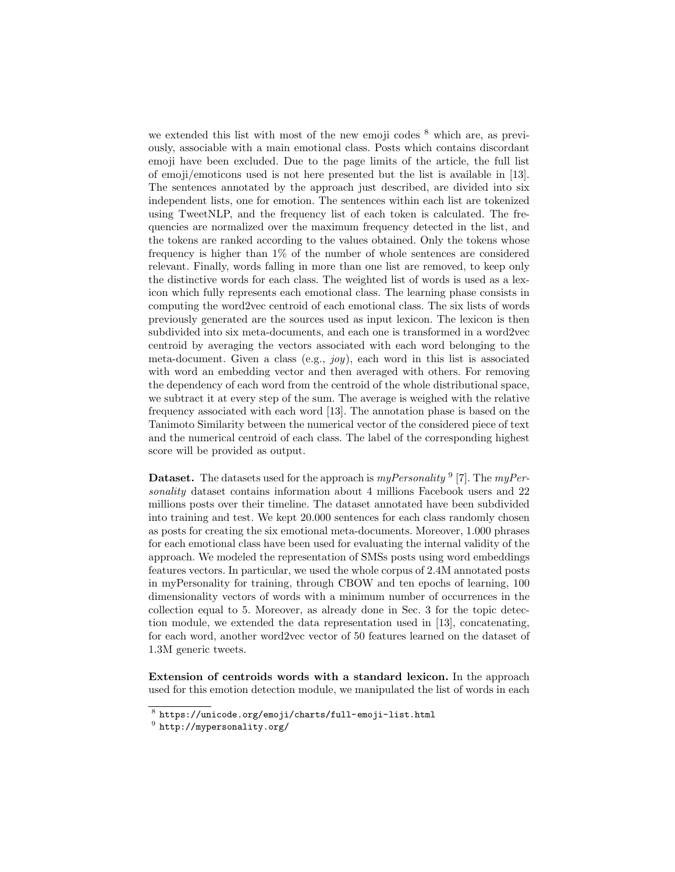we extended this list with most of the new emoji codes  $8$  which are, as previously, associable with a main emotional class. Posts which contains discordant emoji have been excluded. Due to the page limits of the article, the full list of emoji/emoticons used is not here presented but the list is available in [\[13\]](#page-11-13). The sentences annotated by the approach just described, are divided into six independent lists, one for emotion. The sentences within each list are tokenized using TweetNLP, and the frequency list of each token is calculated. The frequencies are normalized over the maximum frequency detected in the list, and the tokens are ranked according to the values obtained. Only the tokens whose frequency is higher than 1% of the number of whole sentences are considered relevant. Finally, words falling in more than one list are removed, to keep only the distinctive words for each class. The weighted list of words is used as a lexicon which fully represents each emotional class. The learning phase consists in computing the word2vec centroid of each emotional class. The six lists of words previously generated are the sources used as input lexicon. The lexicon is then subdivided into six meta-documents, and each one is transformed in a word2vec centroid by averaging the vectors associated with each word belonging to the meta-document. Given a class (e.g.,  $joy$ ), each word in this list is associated with word an embedding vector and then averaged with others. For removing the dependency of each word from the centroid of the whole distributional space, we subtract it at every step of the sum. The average is weighed with the relative frequency associated with each word [\[13\]](#page-11-13). The annotation phase is based on the Tanimoto Similarity between the numerical vector of the considered piece of text and the numerical centroid of each class. The label of the corresponding highest score will be provided as output.

**Dataset.** The datasets used for the approach is  $myPersonality$ <sup>[9](#page-7-1)</sup> [\[7\]](#page-11-15). The  $myPer$ sonality dataset contains information about 4 millions Facebook users and 22 millions posts over their timeline. The dataset annotated have been subdivided into training and test. We kept 20.000 sentences for each class randomly chosen as posts for creating the six emotional meta-documents. Moreover, 1.000 phrases for each emotional class have been used for evaluating the internal validity of the approach. We modeled the representation of SMSs posts using word embeddings features vectors. In particular, we used the whole corpus of 2.4M annotated posts in myPersonality for training, through CBOW and ten epochs of learning, 100 dimensionality vectors of words with a minimum number of occurrences in the collection equal to 5. Moreover, as already done in Sec. [3](#page-2-0) for the topic detection module, we extended the data representation used in [\[13\]](#page-11-13), concatenating, for each word, another word2vec vector of 50 features learned on the dataset of 1.3M generic tweets.

Extension of centroids words with a standard lexicon. In the approach used for this emotion detection module, we manipulated the list of words in each

<span id="page-7-0"></span> $^8$ <https://unicode.org/emoji/charts/full-emoji-list.html>

<span id="page-7-1"></span> $^9$  <http://mypersonality.org/>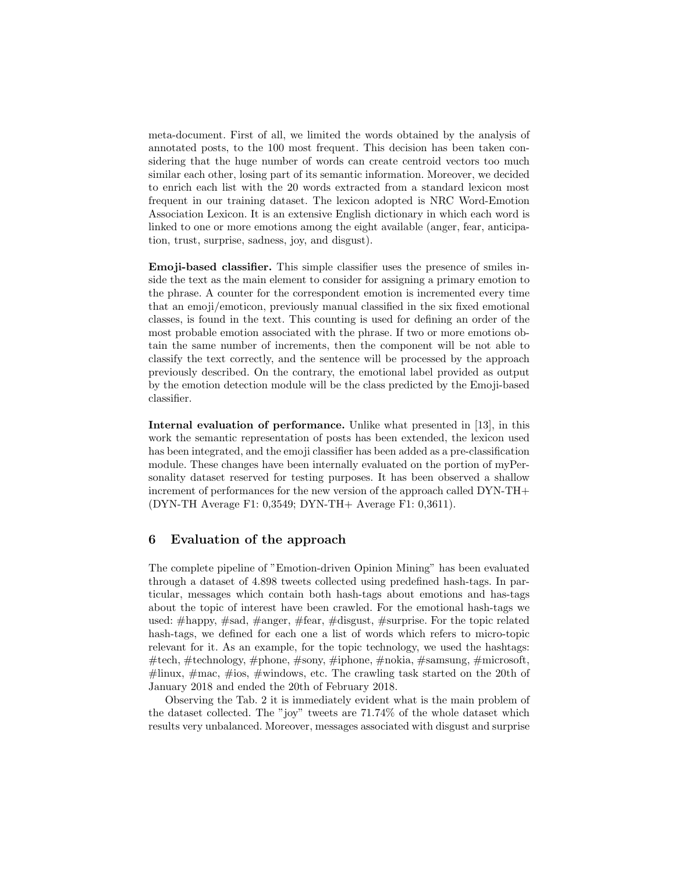meta-document. First of all, we limited the words obtained by the analysis of annotated posts, to the 100 most frequent. This decision has been taken considering that the huge number of words can create centroid vectors too much similar each other, losing part of its semantic information. Moreover, we decided to enrich each list with the 20 words extracted from a standard lexicon most frequent in our training dataset. The lexicon adopted is NRC Word-Emotion Association Lexicon. It is an extensive English dictionary in which each word is linked to one or more emotions among the eight available (anger, fear, anticipation, trust, surprise, sadness, joy, and disgust).

Emoji-based classifier. This simple classifier uses the presence of smiles inside the text as the main element to consider for assigning a primary emotion to the phrase. A counter for the correspondent emotion is incremented every time that an emoji/emoticon, previously manual classified in the six fixed emotional classes, is found in the text. This counting is used for defining an order of the most probable emotion associated with the phrase. If two or more emotions obtain the same number of increments, then the component will be not able to classify the text correctly, and the sentence will be processed by the approach previously described. On the contrary, the emotional label provided as output by the emotion detection module will be the class predicted by the Emoji-based classifier.

Internal evaluation of performance. Unlike what presented in [\[13\]](#page-11-13), in this work the semantic representation of posts has been extended, the lexicon used has been integrated, and the emoji classifier has been added as a pre-classification module. These changes have been internally evaluated on the portion of myPersonality dataset reserved for testing purposes. It has been observed a shallow increment of performances for the new version of the approach called DYN-TH+ (DYN-TH Average F1: 0,3549; DYN-TH+ Average F1: 0,3611).

### <span id="page-8-0"></span>6 Evaluation of the approach

The complete pipeline of "Emotion-driven Opinion Mining" has been evaluated through a dataset of 4.898 tweets collected using predefined hash-tags. In particular, messages which contain both hash-tags about emotions and has-tags about the topic of interest have been crawled. For the emotional hash-tags we used: #happy, #sad, #anger, #fear, #disgust, #surprise. For the topic related hash-tags, we defined for each one a list of words which refers to micro-topic relevant for it. As an example, for the topic technology, we used the hashtags: #tech, #technology, #phone, #sony, #iphone, #nokia, #samsung, #microsoft,  $\#$ linux,  $\#$ mac,  $\#$ ios,  $\#$ windows, etc. The crawling task started on the 20th of January 2018 and ended the 20th of February 2018.

Observing the Tab. [2](#page-9-0) it is immediately evident what is the main problem of the dataset collected. The "joy" tweets are 71.74% of the whole dataset which results very unbalanced. Moreover, messages associated with disgust and surprise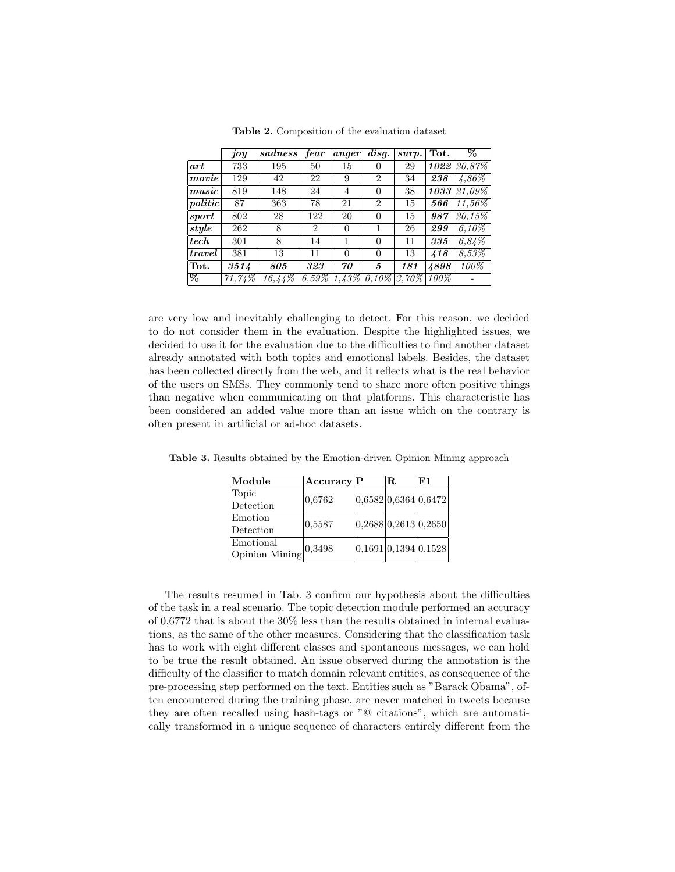|               | joy    | sadeses | fear           | anger    | $\overline{disp}$ . | surp.    | Tot. | $\overline{\%}$ |
|---------------|--------|---------|----------------|----------|---------------------|----------|------|-----------------|
| art           | 733    | 195     | 50             | 15       | $\theta$            | 29       |      | $1022$ $20,87%$ |
| movie         | 129    | 42      | 22             | 9        | $\overline{2}$      | 34       | 238  | $4,86\%$        |
| music         | 819    | 148     | 24             | 4        | $\Omega$            | 38       | 1033 | $21,09\%$       |
| politic       | 87     | 363     | 78             | 21       | $\overline{2}$      | 15       | 566  | $11,56\%$       |
| ${\it sport}$ | 802    | 28      | 122            | 20       | 0                   | 15       | 987  | $20.15\%$       |
| style         | 262    | 8       | $\overline{2}$ | 0        |                     | 26       | 299  | $6.10\%$        |
| tech          | 301    | 8       | 14             |          | $\Omega$            | 11       | 335  | 6,84%           |
| travel        | 381    | 13      | 11             | 0        | $\Omega$            | 13       | 418  | $8,53\%$        |
| Tot.          | 3514   | 805     | 323            | 70       | 5                   | 181      | 4898 | 100%            |
| %             | 71,74% | 16,44%  | $6,59\%$       | $1,43\%$ | $0.10\%$            | $3,70\%$ | 100% |                 |

<span id="page-9-0"></span>Table 2. Composition of the evaluation dataset

are very low and inevitably challenging to detect. For this reason, we decided to do not consider them in the evaluation. Despite the highlighted issues, we decided to use it for the evaluation due to the difficulties to find another dataset already annotated with both topics and emotional labels. Besides, the dataset has been collected directly from the web, and it reflects what is the real behavior of the users on SMSs. They commonly tend to share more often positive things than negative when communicating on that platforms. This characteristic has been considered an added value more than an issue which on the contrary is often present in artificial or ad-hoc datasets.

<span id="page-9-1"></span>

| Module                          | Accuracy P |                      | IR. | F1 |  |
|---------------------------------|------------|----------------------|-----|----|--|
| Topic                           | 0.6762     | 0,6582 0,6364 0,6472 |     |    |  |
| Detection                       |            |                      |     |    |  |
| Emotion                         | 0,5587     | 0,2688 0,2613 0,2650 |     |    |  |
| Detection                       |            |                      |     |    |  |
| Emotional                       |            | 0,1691 0,1394 0,1528 |     |    |  |
| Opinion Mining $\vert^{0,3498}$ |            |                      |     |    |  |

Table 3. Results obtained by the Emotion-driven Opinion Mining approach

The results resumed in Tab. [3](#page-9-1) confirm our hypothesis about the difficulties of the task in a real scenario. The topic detection module performed an accuracy of 0,6772 that is about the 30% less than the results obtained in internal evaluations, as the same of the other measures. Considering that the classification task has to work with eight different classes and spontaneous messages, we can hold to be true the result obtained. An issue observed during the annotation is the difficulty of the classifier to match domain relevant entities, as consequence of the pre-processing step performed on the text. Entities such as "Barack Obama", often encountered during the training phase, are never matched in tweets because they are often recalled using hash-tags or "@ citations", which are automatically transformed in a unique sequence of characters entirely different from the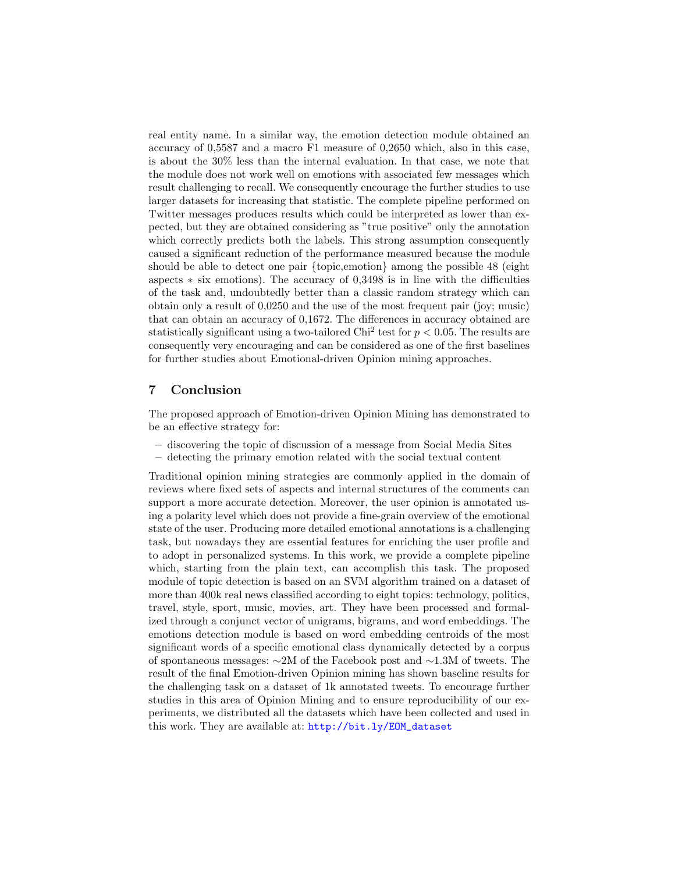real entity name. In a similar way, the emotion detection module obtained an accuracy of 0,5587 and a macro F1 measure of 0,2650 which, also in this case, is about the 30% less than the internal evaluation. In that case, we note that the module does not work well on emotions with associated few messages which result challenging to recall. We consequently encourage the further studies to use larger datasets for increasing that statistic. The complete pipeline performed on Twitter messages produces results which could be interpreted as lower than expected, but they are obtained considering as "true positive" only the annotation which correctly predicts both the labels. This strong assumption consequently caused a significant reduction of the performance measured because the module should be able to detect one pair {topic,emotion} among the possible 48 (eight aspects ∗ six emotions). The accuracy of 0,3498 is in line with the difficulties of the task and, undoubtedly better than a classic random strategy which can obtain only a result of 0,0250 and the use of the most frequent pair (joy; music) that can obtain an accuracy of 0,1672. The differences in accuracy obtained are statistically significant using a two-tailored Chi<sup>2</sup> test for  $p < 0.05$ . The results are consequently very encouraging and can be considered as one of the first baselines for further studies about Emotional-driven Opinion mining approaches.

## 7 Conclusion

The proposed approach of Emotion-driven Opinion Mining has demonstrated to be an effective strategy for:

- discovering the topic of discussion of a message from Social Media Sites
- detecting the primary emotion related with the social textual content

Traditional opinion mining strategies are commonly applied in the domain of reviews where fixed sets of aspects and internal structures of the comments can support a more accurate detection. Moreover, the user opinion is annotated using a polarity level which does not provide a fine-grain overview of the emotional state of the user. Producing more detailed emotional annotations is a challenging task, but nowadays they are essential features for enriching the user profile and to adopt in personalized systems. In this work, we provide a complete pipeline which, starting from the plain text, can accomplish this task. The proposed module of topic detection is based on an SVM algorithm trained on a dataset of more than 400k real news classified according to eight topics: technology, politics, travel, style, sport, music, movies, art. They have been processed and formalized through a conjunct vector of unigrams, bigrams, and word embeddings. The emotions detection module is based on word embedding centroids of the most significant words of a specific emotional class dynamically detected by a corpus of spontaneous messages: ∼2M of the Facebook post and ∼1.3M of tweets. The result of the final Emotion-driven Opinion mining has shown baseline results for the challenging task on a dataset of 1k annotated tweets. To encourage further studies in this area of Opinion Mining and to ensure reproducibility of our experiments, we distributed all the datasets which have been collected and used in this work. They are available at: [http://bit.ly/EOM\\_dataset](http://bit.ly/EOM_dataset)